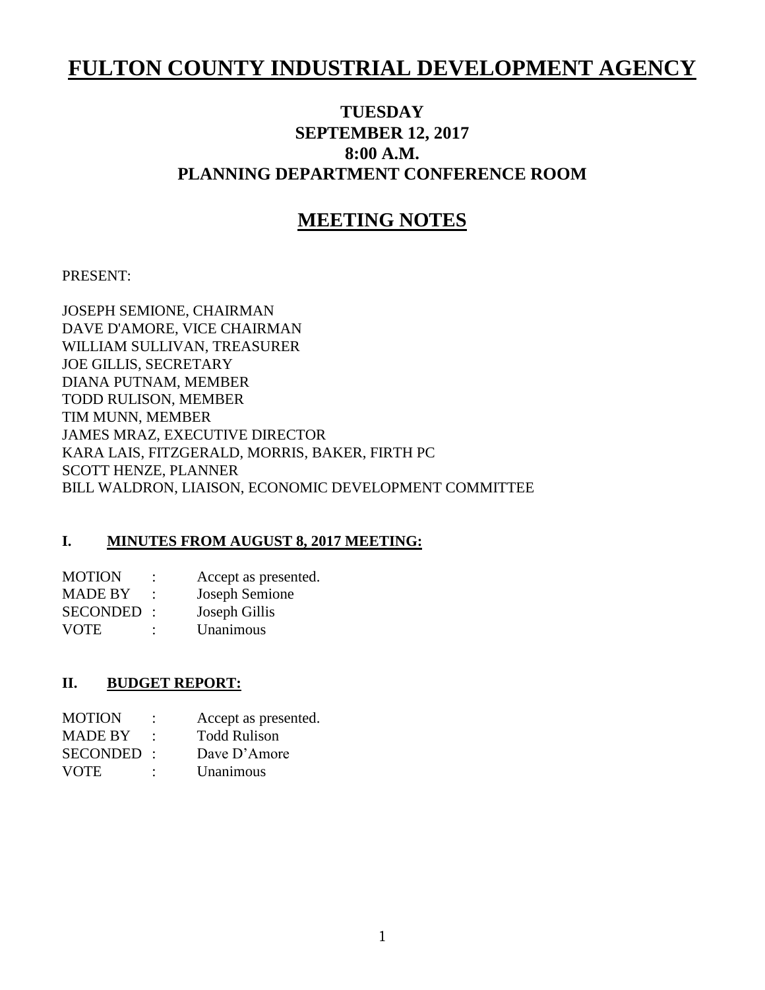# **FULTON COUNTY INDUSTRIAL DEVELOPMENT AGENCY**

# **TUESDAY SEPTEMBER 12, 2017 8:00 A.M. PLANNING DEPARTMENT CONFERENCE ROOM**

# **MEETING NOTES**

#### PRESENT:

JOSEPH SEMIONE, CHAIRMAN DAVE D'AMORE, VICE CHAIRMAN WILLIAM SULLIVAN, TREASURER JOE GILLIS, SECRETARY DIANA PUTNAM, MEMBER TODD RULISON, MEMBER TIM MUNN, MEMBER JAMES MRAZ, EXECUTIVE DIRECTOR KARA LAIS, FITZGERALD, MORRIS, BAKER, FIRTH PC SCOTT HENZE, PLANNER BILL WALDRON, LIAISON, ECONOMIC DEVELOPMENT COMMITTEE

#### **I. MINUTES FROM AUGUST 8, 2017 MEETING:**

| <b>MOTION</b>   | $\ddot{\phantom{a}}$ | Accept as presented. |
|-----------------|----------------------|----------------------|
| <b>MADE BY</b>  |                      | Joseph Semione       |
| <b>SECONDED</b> | $\cdot$              | Joseph Gillis        |
| <b>VOTE</b>     | $\ddot{\cdot}$       | Unanimous            |

#### **II. BUDGET REPORT:**

| <b>MOTION</b>  |                      | Accept as presented. |
|----------------|----------------------|----------------------|
| <b>MADE BY</b> |                      | <b>Todd Rulison</b>  |
| SECONDED:      |                      | Dave D'Amore         |
| <b>VOTE</b>    | $\ddot{\phantom{0}}$ | Unanimous            |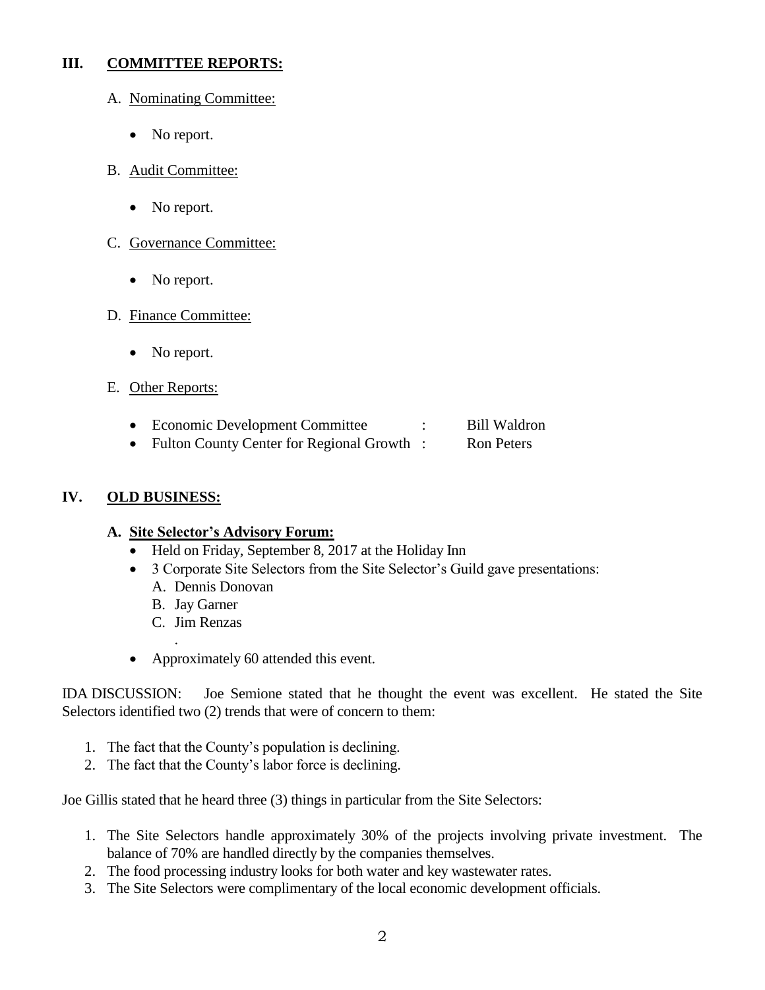#### **III. COMMITTEE REPORTS:**

- A. Nominating Committee:
	- No report.
- B. Audit Committee:
	- No report.
- C. Governance Committee:
	- No report.
- D. Finance Committee:
	- No report.
- E. Other Reports:
	- Economic Development Committee : Bill Waldron
	- Fulton County Center for Regional Growth : Ron Peters

#### **IV. OLD BUSINESS:**

#### **A. Site Selector's Advisory Forum:**

- Held on Friday, September 8, 2017 at the Holiday Inn
- 3 Corporate Site Selectors from the Site Selector's Guild gave presentations:
	- A. Dennis Donovan
	- B. Jay Garner
	- C. Jim Renzas

.

• Approximately 60 attended this event.

IDA DISCUSSION: Joe Semione stated that he thought the event was excellent. He stated the Site Selectors identified two (2) trends that were of concern to them:

- 1. The fact that the County's population is declining.
- 2. The fact that the County's labor force is declining.

Joe Gillis stated that he heard three (3) things in particular from the Site Selectors:

- 1. The Site Selectors handle approximately 30% of the projects involving private investment. The balance of 70% are handled directly by the companies themselves.
- 2. The food processing industry looks for both water and key wastewater rates.
- 3. The Site Selectors were complimentary of the local economic development officials.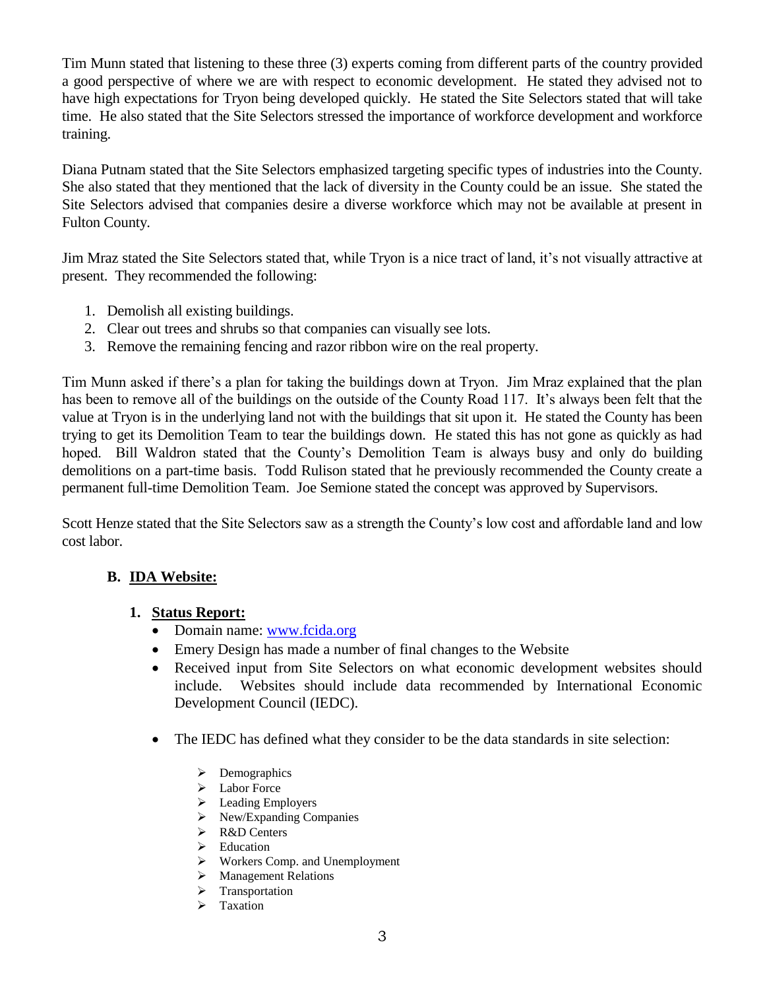Tim Munn stated that listening to these three (3) experts coming from different parts of the country provided a good perspective of where we are with respect to economic development. He stated they advised not to have high expectations for Tryon being developed quickly. He stated the Site Selectors stated that will take time. He also stated that the Site Selectors stressed the importance of workforce development and workforce training.

Diana Putnam stated that the Site Selectors emphasized targeting specific types of industries into the County. She also stated that they mentioned that the lack of diversity in the County could be an issue. She stated the Site Selectors advised that companies desire a diverse workforce which may not be available at present in Fulton County.

Jim Mraz stated the Site Selectors stated that, while Tryon is a nice tract of land, it's not visually attractive at present. They recommended the following:

- 1. Demolish all existing buildings.
- 2. Clear out trees and shrubs so that companies can visually see lots.
- 3. Remove the remaining fencing and razor ribbon wire on the real property.

Tim Munn asked if there's a plan for taking the buildings down at Tryon. Jim Mraz explained that the plan has been to remove all of the buildings on the outside of the County Road 117. It's always been felt that the value at Tryon is in the underlying land not with the buildings that sit upon it. He stated the County has been trying to get its Demolition Team to tear the buildings down. He stated this has not gone as quickly as had hoped. Bill Waldron stated that the County's Demolition Team is always busy and only do building demolitions on a part-time basis. Todd Rulison stated that he previously recommended the County create a permanent full-time Demolition Team. Joe Semione stated the concept was approved by Supervisors.

Scott Henze stated that the Site Selectors saw as a strength the County's low cost and affordable land and low cost labor.

# **B. IDA Website:**

#### **1. Status Report:**

- Domain name: [www.fcida.org](http://www.fcida.org/)
- Emery Design has made a number of final changes to the Website
- Received input from Site Selectors on what economic development websites should include. Websites should include data recommended by International Economic Development Council (IEDC).
- The IEDC has defined what they consider to be the data standards in site selection:
	- $\triangleright$  Demographics
	- > Labor Force
	- $\blacktriangleright$  Leading Employers
	- New/Expanding Companies
	- **►** R&D Centers
	- > Education
	- Workers Comp. and Unemployment
	- > Management Relations
	- > Transportation
	- $\triangleright$  Taxation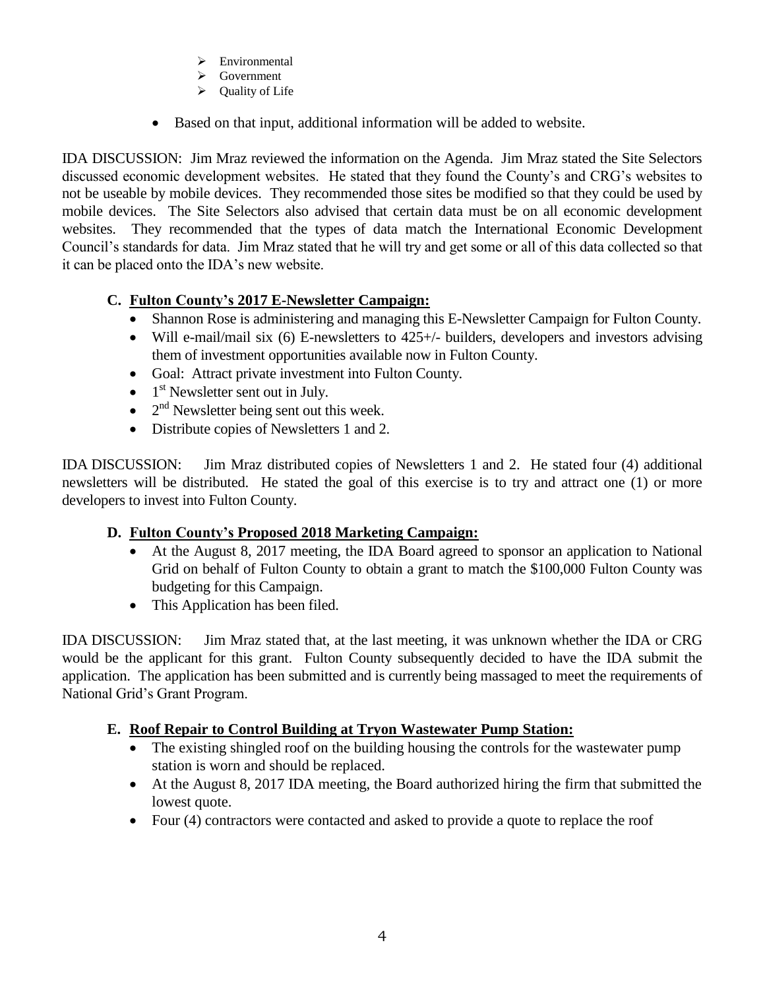- > Environmental
- **►** Government
- $\triangleright$  Ouality of Life
- Based on that input, additional information will be added to website.

IDA DISCUSSION: Jim Mraz reviewed the information on the Agenda. Jim Mraz stated the Site Selectors discussed economic development websites. He stated that they found the County's and CRG's websites to not be useable by mobile devices. They recommended those sites be modified so that they could be used by mobile devices. The Site Selectors also advised that certain data must be on all economic development websites. They recommended that the types of data match the International Economic Development Council's standards for data. Jim Mraz stated that he will try and get some or all of this data collected so that it can be placed onto the IDA's new website.

# **C. Fulton County's 2017 E-Newsletter Campaign:**

- Shannon Rose is administering and managing this E-Newsletter Campaign for Fulton County.
- Will e-mail/mail six (6) E-newsletters to 425+/- builders, developers and investors advising them of investment opportunities available now in Fulton County.
- Goal: Attract private investment into Fulton County.
- $\bullet$  1<sup>st</sup> Newsletter sent out in July.
- $\bullet$   $2<sup>nd</sup>$  Newsletter being sent out this week.
- Distribute copies of Newsletters 1 and 2.

IDA DISCUSSION: Jim Mraz distributed copies of Newsletters 1 and 2. He stated four (4) additional newsletters will be distributed. He stated the goal of this exercise is to try and attract one (1) or more developers to invest into Fulton County.

# **D. Fulton County's Proposed 2018 Marketing Campaign:**

- At the August 8, 2017 meeting, the IDA Board agreed to sponsor an application to National Grid on behalf of Fulton County to obtain a grant to match the \$100,000 Fulton County was budgeting for this Campaign.
- This Application has been filed.

IDA DISCUSSION: Jim Mraz stated that, at the last meeting, it was unknown whether the IDA or CRG would be the applicant for this grant. Fulton County subsequently decided to have the IDA submit the application. The application has been submitted and is currently being massaged to meet the requirements of National Grid's Grant Program.

# **E. Roof Repair to Control Building at Tryon Wastewater Pump Station:**

- The existing shingled roof on the building housing the controls for the wastewater pump station is worn and should be replaced.
- At the August 8, 2017 IDA meeting, the Board authorized hiring the firm that submitted the lowest quote.
- Four (4) contractors were contacted and asked to provide a quote to replace the roof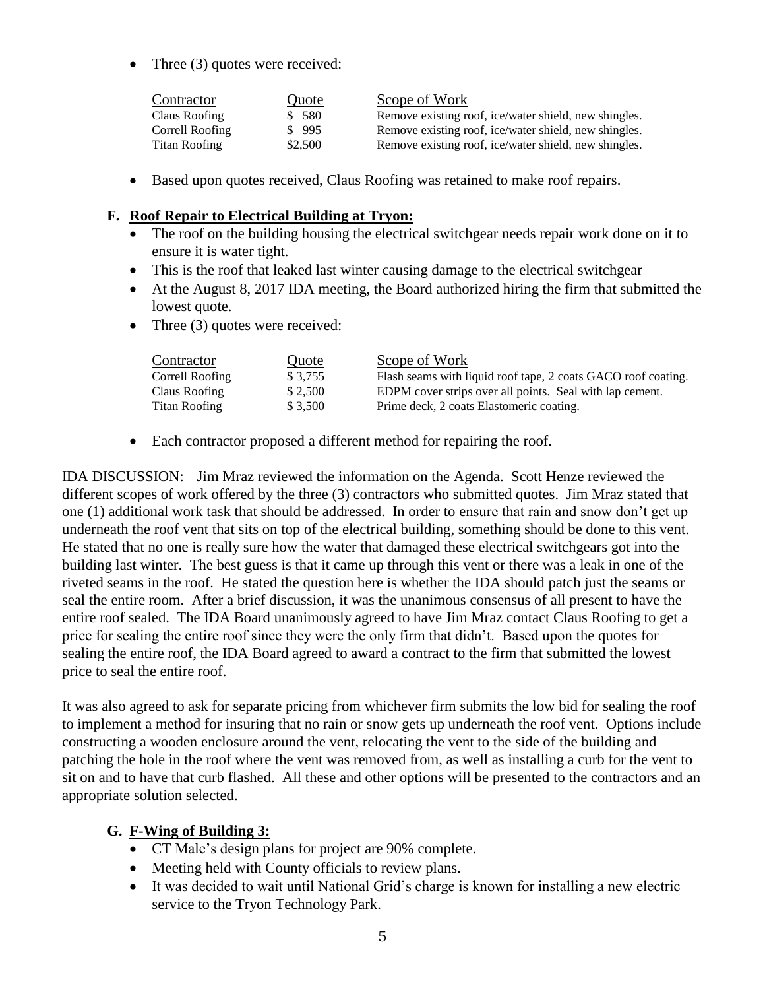• Three (3) quotes were received:

| Contractor      | <u>Quote</u> | Scope of Work                                         |
|-----------------|--------------|-------------------------------------------------------|
| Claus Roofing   | \$ 580       | Remove existing roof, ice/water shield, new shingles. |
| Correll Roofing | \$995        | Remove existing roof, ice/water shield, new shingles. |
| Titan Roofing   | \$2,500      | Remove existing roof, ice/water shield, new shingles. |

Based upon quotes received, Claus Roofing was retained to make roof repairs.

#### **F. Roof Repair to Electrical Building at Tryon:**

- The roof on the building housing the electrical switchgear needs repair work done on it to ensure it is water tight.
- This is the roof that leaked last winter causing damage to the electrical switchgear
- At the August 8, 2017 IDA meeting, the Board authorized hiring the firm that submitted the lowest quote.
- Three (3) quotes were received:

| Contractor      | Quote    | Scope of Work                                                 |
|-----------------|----------|---------------------------------------------------------------|
| Correll Roofing | \$ 3.755 | Flash seams with liquid roof tape, 2 coats GACO roof coating. |
| Claus Roofing   | \$2.500  | EDPM cover strips over all points. Seal with lap cement.      |
| Titan Roofing   | \$ 3.500 | Prime deck, 2 coats Elastomeric coating.                      |

• Each contractor proposed a different method for repairing the roof.

IDA DISCUSSION: Jim Mraz reviewed the information on the Agenda. Scott Henze reviewed the different scopes of work offered by the three (3) contractors who submitted quotes. Jim Mraz stated that one (1) additional work task that should be addressed. In order to ensure that rain and snow don't get up underneath the roof vent that sits on top of the electrical building, something should be done to this vent. He stated that no one is really sure how the water that damaged these electrical switchgears got into the building last winter. The best guess is that it came up through this vent or there was a leak in one of the riveted seams in the roof. He stated the question here is whether the IDA should patch just the seams or seal the entire room. After a brief discussion, it was the unanimous consensus of all present to have the entire roof sealed. The IDA Board unanimously agreed to have Jim Mraz contact Claus Roofing to get a price for sealing the entire roof since they were the only firm that didn't. Based upon the quotes for sealing the entire roof, the IDA Board agreed to award a contract to the firm that submitted the lowest price to seal the entire roof.

It was also agreed to ask for separate pricing from whichever firm submits the low bid for sealing the roof to implement a method for insuring that no rain or snow gets up underneath the roof vent. Options include constructing a wooden enclosure around the vent, relocating the vent to the side of the building and patching the hole in the roof where the vent was removed from, as well as installing a curb for the vent to sit on and to have that curb flashed. All these and other options will be presented to the contractors and an appropriate solution selected.

#### **G. F-Wing of Building 3:**

- CT Male's design plans for project are 90% complete.
- Meeting held with County officials to review plans.
- It was decided to wait until National Grid's charge is known for installing a new electric service to the Tryon Technology Park.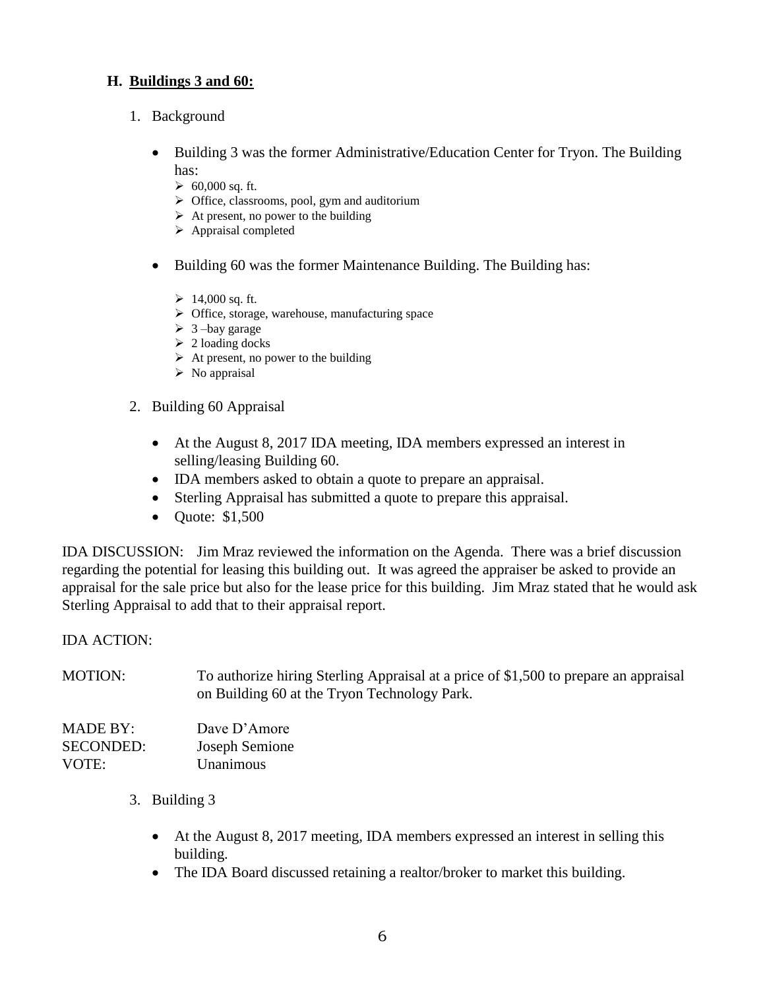#### **H. Buildings 3 and 60:**

- 1. Background
	- Building 3 was the former Administrative/Education Center for Tryon. The Building has:
		- $\geq 60,000$  sq. ft.
		- $\triangleright$  Office, classrooms, pool, gym and auditorium
		- $\triangleright$  At present, no power to the building
		- $\triangleright$  Appraisal completed
	- Building 60 was the former Maintenance Building. The Building has:
		- $\geq 14,000$  sq. ft.
		- Office, storage, warehouse, manufacturing space
		- $\geq 3$  –bay garage
		- $\geq 2$  loading docks
		- $\triangleright$  At present, no power to the building
		- $\triangleright$  No appraisal
- 2. Building 60 Appraisal
	- At the August 8, 2017 IDA meeting, IDA members expressed an interest in selling/leasing Building 60.
	- IDA members asked to obtain a quote to prepare an appraisal.
	- Sterling Appraisal has submitted a quote to prepare this appraisal.
	- Quote: \$1,500

IDA DISCUSSION: Jim Mraz reviewed the information on the Agenda. There was a brief discussion regarding the potential for leasing this building out. It was agreed the appraiser be asked to provide an appraisal for the sale price but also for the lease price for this building. Jim Mraz stated that he would ask Sterling Appraisal to add that to their appraisal report.

#### IDA ACTION:

MOTION: To authorize hiring Sterling Appraisal at a price of \$1,500 to prepare an appraisal on Building 60 at the Tryon Technology Park.

| <b>MADE BY:</b>  | Dave D'Amore   |
|------------------|----------------|
| <b>SECONDED:</b> | Joseph Semione |
| VOTE:            | Unanimous      |

- 3. Building 3
	- At the August 8, 2017 meeting, IDA members expressed an interest in selling this building.
	- The IDA Board discussed retaining a realtor/broker to market this building.